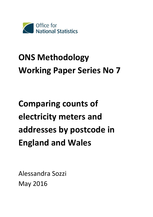

# **ONS Methodology Working Paper Series No 7**

# **Comparing counts of electricity meters and addresses by postcode in England and Wales**

Alessandra Sozzi May 2016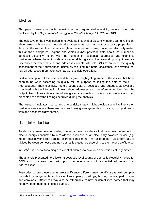# Abstract

This paper presents an initial investigation into aggregated electricity meters count data published by the *Department of Energy and Climate Change (DECC)* for 2013.

The objective of the investigation is to evaluate if counts of electricity meters can give insight about areas with complex household arrangements such as multi-occupancy properties or flats. On the assumption that any single address will most likely have one electricity meter, this analysis compares England and Wales (E&W) postcode data about the number of domestic electricity meters with the number of residential addresses and examines postcodes where these two data sources differ greatly. Understanding why there are differences between meters and addresses counts will help ONS to enhance the quality assessment of the AddressBase, ultimately resulting in a better assistance for activities that rely on addresses information such as Census field operations.

First a description of the research data is given, highlighting some of the issues that have been found while assessing its quality for the purpose of linking this data to the ONS AddressBase. Then electricity meters count data at postcode and output area level are combined with the information known about addresses and the information given from the Output Area classification created using Census variables. Some case studies are then presented to show the findings acquired during the analysis.

The research indicates that counts of electricity meters might provide some intelligence on postcode areas where there are complex housing arrangements such as high proportions of flats and second/holiday homes.

# 1. Introduction

An electricity meter, electric meter, or energy meter is a device that measures the amount of electric energy consumed by a residence, business, or an electrically powered device (e.g. meters that power street lighting or traffic lights rather than a property). Electricity data is divided between domestic and non-domestic categories according to the meter's profile type.

In  $E&W<sup>1</sup>$  it is normal for a single residential address to have one domestic electricity meter.

The analysis presented here looks at postcode level counts of domestic electricity meters for E&W and compares them with postcode level counts of residential addresses from AddressBase.

Postcodes where these counts are significantly different may identify areas with complex household arrangements such as multi-occupancy buildings, holiday homes, park homes and caravans. Differences may also be attributable to new or demolished homes that may not have been updated in either dataset.

<sup>-</sup><sup>1</sup> For more information see **DECC Methodology and guidance note**.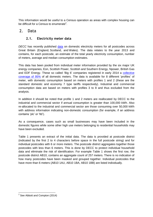This information would be useful to a Census operation as areas with complex housing can be difficult for a Census to enumerate<sup>2</sup>.

# 2. Data

# **2.1. Electricity meter data**

*DECC* has recently published [data](https://www.gov.uk/government/statistics/postcode-level-electricity-estimates-2013-experimental) on domestic electricity meters for all postcodes across Great Britain (England, Scotland, and Wales). The data relates to the year 2013 and contains, for each postcode, an estimate of the total yearly electricity consumption, number of meters, average and median consumption estimates.

This data has been pooled from individual meter information provided by the six major UK energy companies, Eon, Scottish Power, Scottish and Southern Energy, Npower, British Gas and EDF Energy. These so called 'Big 6' companies registered in early 2014 a [collective](https://www.ofgem.gov.uk/ofgem-publications/86804/assessmentdocumentpublished.pdf)  [coverage of](https://www.ofgem.gov.uk/ofgem-publications/86804/assessmentdocumentpublished.pdf) 95% of all domestic meters. The data is available for 8 different 'profiles' of meter, with domestic consumption based on meters with profiles 1 and 2 (these are the standard domestic and economy 7 type tariffs respectively). Industrial and commercial consumption data are based on meters with profiles 3 to 8 and thus excluded from the analysis.

In addition it should be noted that profile 1 and 2 meters are reallocated by DECC to the industrial and commercial sector if annual consumption is greater than 100,000 kWh. Also re-allocated to the industrial and commercial sector are those consuming over 50,000 kWh with address information indicating non-domestic consumption (for example, if an address contains 'plc' or 'ltd').

As a consequence, cases such as small businesses may have been included in the domestic figures while some other high use meters belonging to residential households may have been excluded.

[Table 1](#page-3-0) presents an extract of the initial data. The data is provided at postcode district (indicated by the first 2 to 4 characters before space in the full postcode string) and for individual postcodes with 6 or more meters. The postcode district aggregates together those postcodes with less than 6 meters. This is done by DECC to protect individual household data and eliminate the risk of identification. For example [Table 1](#page-3-0) shows the first row, the postcode district AB10, contains an aggregate count of 257 meters. There is no indication of how many postcodes have been masked and grouped together. Individual postcodes that have more than 6 meters (AB10 1AU, AB10 1BA, AB10 1BB) are listed individually.

 2 See Abbott and Compton (2014)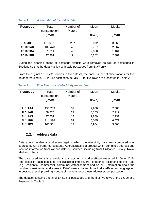| <b>Postcode</b> | Total<br>consumption | Number of<br><b>Meters</b> | Mean  | Median |
|-----------------|----------------------|----------------------------|-------|--------|
|                 | (kWh)                |                            | (kWh) | (kWh)  |
|                 |                      |                            |       |        |
| <b>AB10</b>     | 1,303,518            | 257                        | 5,072 | 3,269  |
| <b>AB101AU</b>  | 109,478              | 40                         | 2,737 | 2,067  |
| <b>AB101BA</b>  | 81,214               | 40                         | 2,030 | 1,461  |
| <b>AB101BB</b>  | 47,361               | 9                          | 5,262 | 2,481  |
|                 |                      |                            |       |        |

#### <span id="page-3-0"></span>**Table 1:** *A snapshot of the initial data*

During the cleaning phase all postcode districts were removed as well as postcodes in Scotland so that the data was left with valid postcodes from E&W only.

From the original 1,156,791 records in the dataset, the final number of observations for this dataset resulted in 1,044,112 postcodes (90.3%). First five rows are presented in [Table 2.](#page-3-1)

#### <span id="page-3-1"></span>**Table 2:** *First five rows of electricity meter data*

| <b>Postcode</b> | Total<br>consumption | Number of<br><b>Meters</b> | Mean  | Median |
|-----------------|----------------------|----------------------------|-------|--------|
|                 | (kWh)                |                            | (kWh) | (kWh)  |
|                 |                      |                            |       |        |
| AL11AJ          | 150,789              | 52                         | 2,900 | 2,583  |
| AL11AR          | 68,275               | 22                         | 3,103 | 2,719  |
| <b>AL1 1AS</b>  | 37,551               | 13                         | 2,889 | 2,731  |
| AL11BH          | 314,336              | 52                         | 6,045 | 6,577  |
| <b>AL1 1BX</b>  | 100,361              | 17                         | 5,904 | 5,500  |

### **2.2. Address data**

Data about residential addresses against which the electricity data was compared was sourced by ONS from AddressBase. AddressBase is a product which combines address and location information from various different sources, including from Ordnance Survey, Royal Mail and others.

The data used for this analysis is a snapshot of AddressBase extracted in June 2015. Addresses in each postcode are classified into several categories according to their use (e.g. residential, commercial, communal establishment and so on). Information about the number of residential addresses in E&W were extracted from AddressBase and aggregated to postcode level, providing a count of the number of these addresses per postcode.

The dataset contains a total of 1,451,641 postcodes and the first five rows of the extract are illustrated in [Table 3.](#page-4-0)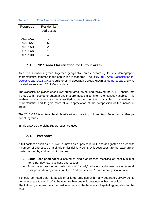| Postcode       | Residential |
|----------------|-------------|
|                | addresses   |
|                |             |
| AL1 1AG        | 6           |
| <b>AL1 1AJ</b> | 52          |
| AL1 1AR        | 20          |
| AL1 1AS        | 13          |
| AI 1 1 RH      | 48          |
|                |             |

## <span id="page-4-0"></span>**Table 3:** *First five rows of the extract from AddressBase*

## **2.3. 2011 Area Classification for Output Areas**

Area classifications group together geographic areas according to key demographic characteristics common to the population in that area. The ONS [2011 Area Classification for](http://www.ons.gov.uk/ons/guide-method/geography/products/area-classifications/ns-area-classifications/ns-2011-area-classifications/index.html)  [Output Areas \(2011 OAC\)](http://www.ons.gov.uk/ons/guide-method/geography/products/area-classifications/ns-area-classifications/ns-2011-area-classifications/index.html) is built for small geographic areas known as [output areas](http://www.ons.gov.uk/ons/guide-method/geography/beginner-s-guide/census/output-area--oas-/index.html) and was created entirely from 2011 Census data.

The classification places each E&W output area, as defined following the 2011 Census, into a group with those other output areas that are most similar in terms of census variables. This enables similar areas to be classified according to their particular combination of characteristics and to gain more of an appreciation of the composition of the individual areas.

The 2011 OAC is a hierarchical classification, consisting of three tiers: Supergroups, Groups and Subgroups.

In this analysis the eight Supergroups are used.

### **2.4. Postcodes**

A full postcode such as AL1 1AG is known as a "postcode unit" and designates an area with a number of addresses or a single major delivery point. Unit postcodes are the base unit of postal geography and fall into two types:

- **Large user postcodes:** allocated to single addresses receiving at least 500 mail items per day (e.g. business addresses).
- **Small user postcodes:** collections of (usually) adjacent addresses. A single small user postcode may contain up to 100 addresses, but 15 is a more typical number.

It should be noted that it is possible for large buildings with many separate delivery points (for example, a tower block) to have more than one unit postcode within the building. The following analysis uses the postcode units as the base unit of spatial aggregation for the data.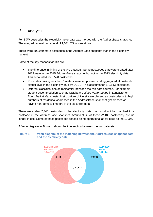# 3. Analysis

For E&W postcodes the electricity meter data was merged with the AddressBase snapshot. The merged dataset had a total of 1,041,672 observations.

There were 409,969 more postcodes in the AddressBase snapshot than in the electricity dataset.

Some of the key reasons for this are:

- The difference in timing of the two datasets. Some postcodes that were created after 2013 were in the 2015 AddressBase snapshot but not in the 2013 electricity data. This accounted for 5,590 postcodes.
- Postcodes having less than 6 meters were suppressed and aggregated at postcode district level in the electricity data by DECC. This accounts for 379,513 postcodes.
- Different classifications of 'residential' between the two data sources. For example student accommodation such as *Graduate College Porter Lodge* in Lancaster or *Booth Hall* at Manchester Metropolitan University are classed as postcodes with high numbers of residential addresses in the AddressBase snapshot, yet classed as having non-domestic meters in the electricity data.

There were also 2,440 postcodes in the electricity data that could not be matched to a postcode in the AddressBase snapshot. Around 90% of these (2,183 postcodes) are no longer in use. Some of these postcodes ceased being operational as far back as the 1990s.

A Venn diagram in [Figure 1](#page-5-0) shows the intersection between the two datasets.

#### <span id="page-5-0"></span>**Figure 1: Venn diagram of the matching between the AddressBase snapshot data and the electricity data**

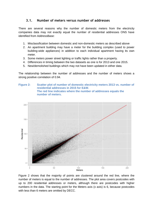## **3.1. Number of meters versus number of addresses**

There are several reasons why the number of domestic meters from the electricity companies data may not exactly equal the number of residential addresses ONS have identified from AddressBase:

- 1. Misclassification between domestic and non-domestic meters as described above
- 2. An apartment building may have a meter for the building complex (used to power building-wide appliances) in addition to each individual apartment having its own meter.
- 3. Some meters power street lighting or traffic lights rather than a property.
- 4. Differences in timing between the two datasets as one is for 2013 and one 2015.
- 5. New/demolished buildings which may not have been updated in either data.

The relationship between the number of addresses and the number of meters shows a strong positive correlation of 0.94.

#### <span id="page-6-0"></span>**Figure 2: Scatter plot of number of domestic electricity meters 2013 vs. number of residential addresses in 2015 for E&W. The red line indicates where the number of addresses equals the number of meters.**



[Figure 2](#page-6-0) shows that the majority of points are clustered around the red line, where the number of meters is equal to the number of addresses. The plot area covers postcodes with up to 200 residential addresses or meters, although there are postcodes with higher numbers in the data. The starting point for the Meters axis (x axis) is 6, because postcodes with less than 6 meters are omitted by DECC.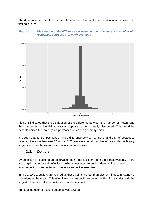The difference between the number of meters and the number of residential addresses was first calculated.



#### <span id="page-7-0"></span>**Figure 3:** *Distribution of the difference between number of meters and number of residential addresses for each postcode*

[Figure 3](#page-7-0) indicates that the distribution of the difference between the number of meters and the number of residential addresses appears to be normally distributed. This could be expected since the majority are postcodes which are generally small.

It is seen that 87% of postcodes have a difference between 2 and -2, and 98% of postcodes have a difference between 10 and -10. There are a small number of postcodes with very large differences between meter counts and addresses.

# **3.2. Outliers**

By definition an outlier is an observation point that is distant from other observations. There is no rigid mathematical definition of what constitutes an outlier; determining whether or not an observation is an outlier is ultimately a subjective exercise.

In this analysis, outliers are defined as those points greater than plus or minus 2.58 standard deviations of the mean. This effectively sets an outlier to be in the 1% of postcodes with the largest difference between meters and address counts.

The total number of outliers detected was 15,808.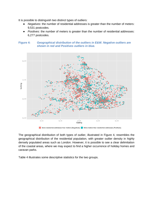It is possible to distinguish two distinct types of outliers:

- *Negatives*: the number of residential addresses is greater than the number of meters: 9,531 postcodes.
- *Positives*: the number of meters is greater than the number of residential addresses: 6,277 postcodes.

<span id="page-8-0"></span>



The geographical distribution of both types of outlier, illustrated in [Figure 4,](#page-8-0) resembles the geographical distribution of the residential population, with greater outlier density in highly densely populated areas such as London. However, it is possible to see a clear delimitation of the coastal areas, where we may expect to find a higher occurrence of holiday homes and caravan parks.

[Table 4](#page-9-0) illustrates some descriptive statistics for the two groups.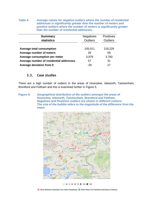<span id="page-9-0"></span>**Table 4:** *Average values for negative outliers where the number of residential addresses is significantly greater than the number of meters and positive outliers where the* **number of meters is significantly greater than the number of residential addresses***.*

| <b>Summary</b>                          | <b>Negatives</b> | <b>Positives</b> |
|-----------------------------------------|------------------|------------------|
| <b>statistics</b>                       | <b>Outliers</b>  | <b>Outliers</b>  |
|                                         |                  |                  |
| <b>Average total consumption</b>        | 105,011          | 218,229          |
| Average number of meters                | 28               | 58               |
| Average consumption per meter           | 3,979            | 3,783            |
| Average number of residential addresses | 57               | 31               |
| Average deviation from 0                | $-29$            | 27               |

## **3.3. Case studies**

There are a high number of outliers in the areas of Hounslow, Isleworth, Twickenham, Brentford and Feltham and this is examined further in [Figure 5.](#page-9-1)

<span id="page-9-1"></span>**Figure 5:** *Geographical distribution of the outliers amongst the areas of Hounslow, Isleworth, Twickenham, Brentford and Feltham. Negatives and Positives outliers are shown in different colours. The size of the bubble refers to the magnitude of the difference from the mean.*



 $\cdot$  25  $\cdot$  50  $\bullet$  75  $\bullet$  100  $\bullet$  125

More residential addresses than meters (Negatives) More meters than residential addresses (Positives)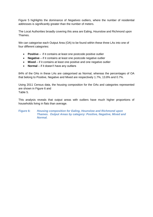[Figure 5](#page-9-1) highlights the dominance of *Negatives* outliers, where the number of residential addresses is significantly greater than the number of meters.

The Local Authorities broadly covering this area are Ealing, Hounslow and Richmond upon Thames.

We can categorise each Output Area (OA) to be found within these three LAs into one of four different categories:

- **Positive** if it contains at least one postcode positive outlier
- **Negative** if it contains at least one postcode negative outlier
- **Mixed** if it contains at least one positive and one negative outlier
- **Normal** if it doesn't have any outliers

84% of the OAs in these LAs are categorised as Normal, whereas the percentages of OA that belong to Positive, Negative and Mixed are respectively 1.7%, 13.8% and 0.7%.

Using 2011 Census data, the housing composition for the OAs and categories represented are shown in [Figure 6](#page-10-0) and [Table 5.](#page-11-0)

This analysis reveals that output areas with outliers have much higher proportions of households living in flats than average.

#### <span id="page-10-0"></span>**Figure 6:** *Housing composition for Ealing, Hounslow and Richmond upon Thames. Output Areas by category: Positive, Negative, Mixed and Normal.*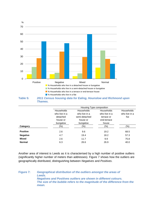<span id="page-11-0"></span>

*Thames.*

|                 |               | Housing Type composition               |               |               |  |  |
|-----------------|---------------|----------------------------------------|---------------|---------------|--|--|
|                 | Households    | Households<br>Households<br>Households |               |               |  |  |
|                 | who live in a | who live in a                          | who live in a | who live in a |  |  |
|                 | detached      | semi-detached                          | terrace or    | flat          |  |  |
|                 | house or      | house or                               | end-terrace   |               |  |  |
|                 | bungalow      | bungalow                               | house         |               |  |  |
| Category        | (%)           | (%)                                    | $(\%)$        | (%)           |  |  |
| <b>Positive</b> | 2.6           | 9.6                                    | 19.2          | 68.5          |  |  |
| <b>Negative</b> | 4.7           | 19.4                                   | 18.2          | 57.3          |  |  |
| <b>Mixed</b>    | 2.6           | 11.7                                   | 9.9           | 75.8          |  |  |
| <b>Normal</b>   | 6.3           | 26.6                                   | 26.9          | 40.0          |  |  |
|                 |               |                                        |               |               |  |  |

Another area of interest is Leeds as it is characterised by a high number of positive outliers (significantly higher number of meters than addresses). [Figure 7](#page-11-1) shows how the outliers are geographically distributed, distinguishing between *Negatives* and *Positives*.

<span id="page-11-1"></span>**Figure 7:** *Geographical distribution of the outliers amongst the areas of Leeds. Negatives and Positives outliers are shown in different colours. The size of the bubble refers to the magnitude of the difference from the mean.*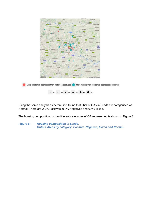

Using the same analysis as before, it is found that 96% of OAs in Leeds are categorised as Normal. There are 2.9% Positives, 0.8% Negatives and 0.4% Mixed.

The housing composition for the different categories of OA represented is shown in [Figure 8.](#page-12-0)

<span id="page-12-0"></span>**Figure 8:** *Housing composition in Leeds. Output Areas by category: Positive, Negative, Mixed and Normal.*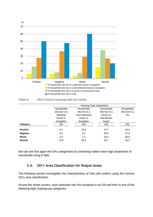

#### **Table 6:** *2011 Census housing data for Leeds.*

|                 | Housing Type composition                                        |                                                                      |                                                                   |                                     |
|-----------------|-----------------------------------------------------------------|----------------------------------------------------------------------|-------------------------------------------------------------------|-------------------------------------|
|                 | Households<br>who live in a<br>detached<br>house or<br>bungalow | Households<br>who live in a<br>semi-detached<br>house or<br>bungalow | Households<br>who live in a<br>terrace or<br>end-terrace<br>house | Households<br>who live in a<br>flat |
| Category        | $(\%)$                                                          | $(\% )$                                                              | $(\%)$                                                            | $(\%)$                              |
| <b>Positive</b> | 6.1                                                             | 15.9                                                                 | 27.7                                                              | 50.3                                |
| <b>Negative</b> | 6.2                                                             | 8.1                                                                  | 36.6                                                              | 47.8                                |
| <b>Mixed</b>    | 3.4                                                             | 7.3                                                                  | 29.3                                                              | 60.0                                |
| <b>Normal</b>   | 15.0                                                            | 38.1                                                                 | 26.7                                                              | 20.2                                |

We can see that again the OAs categorised as containing outliers have high proportions of households living in flats.

# **3.4. 2011 Area Classification for Output Areas**

The following section investigates the characteristics of OAs with outliers using the Census 2011 area classification.

Across the whole country, each postcode was first assigned to an OA and then to one of the following eight Supergroup categories: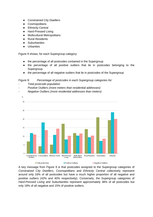- Constrained City Dwellers
- Cosmopolitans
- Ethnicity Central
- Hard-Pressed Living
- Multicultural Metropolitans
- Rural Residents
- Suburbanites
- Urbanites

[Figure 9](#page-14-0) shows, for each Supergroup category:

- the percentage of all postcodes contained in the Supergroup
- the percentage of all positive outliers that lie in postcodes belonging to the Supergroup.
- the percentage of all negative outliers that lie in postcodes of the Supergroup

<span id="page-14-0"></span>Figure 9: *Percentage of postcodes in each Supergroup categories for:*

- *- Total postcode population*
- *- Positive Outliers (more meters than residential addresses)*
- *- Negative Outliers (more residential addresses than meters)*



A key message from [Figure 9](#page-14-0) is that postcodes assigned to the Supergroup categories of *Constrained City Dwellers*, *Cosmopolitans* and *Ethnicity Central* collectively represent around only 16% of all postcodes but have a much higher proportion of all negative and positive outliers (42% and 40% respectively). Conversely, the Supergroup categories of *Hard-Pressed Living* and *Suburbanites* represent approximately 38% of all postcodes but only 18% of all negative and 15% of positive outliers.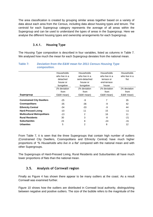The area classification is created by grouping similar areas together based on a variety of data about each area from the Census, including data about housing types and tenure. The centroid for each Supergroup category represents the average of all areas within the Supergroup and can be used to understand the types of areas in the Supergroup. Here we analyse the different housing types and ownership arrangements for each Supergroup.

## **3.4.1. Housing Type**

The *Housing Type* composition is described in four variables, listed as columns in [Table 7.](#page-15-0) We analysed how much the mean for each Supergroup deviates from the national mean.

| <u>vunpuonuun.</u>                 |               |                |               |               |
|------------------------------------|---------------|----------------|---------------|---------------|
|                                    | Households    | Households     | Households    | Households    |
|                                    | who live in a | who live in a  | who live in a | who live in a |
|                                    | detached      | semi-detached  | terrace or    | flat          |
|                                    | house or      | house or       | end-terrace   |               |
|                                    | bungalow      | bungalow       | house         |               |
|                                    | (% deviation  | (% deviation   | (% deviation  | (% deviation  |
|                                    | from          | from           | from          | from          |
| Supergroup                         | E&W mean)     | E&W mean)      | E&W mean)     | E&W mean)     |
| <b>Constrained City Dwellers</b>   | $-25$         | -9             | 7             | 35            |
| <b>Cosmopolitans</b>               | $-35$         | -36            | -9            | 42            |
| <b>Ethnicity Central</b>           | -34           | -33            | -9            | 44            |
| <b>Hard-Pressed Living</b>         | $-10$         | 11             | 15            | $-11$         |
| <b>Multicultural Metropolitans</b> | $-13$         | 2              | 16            | 11            |
| <b>Rural Residents</b>             | 30            | 3              | -8            | $-21$         |
| <b>Suburbanites</b>                | 23            | 8              | $-24$         | -31           |
| <b>Urbanites</b>                   | 5             | $\overline{2}$ | 8             | 12            |

#### <span id="page-15-0"></span>**Table 7:** *Deviation from the E&W mean for 2011 Census Housing Type composition.*

From [Table 7,](#page-15-0) it is seen that the three Supergroups that contain high number of outliers (Constrained City Dwellers, Cosmopolitans and Ethnicity Central) have much higher proportions of *'% Households who live in a flat*' compared with the national mean and with other Supergroups.

The Supergroups of Hard-Pressed Living, Rural Residents and Suburbanites all have much lower proportions of flats than the national mean.

# **3.5. Analysis of Cornwall region**

Finally as [Figure 4](#page-8-0) has shown there appear to be many outliers at the coast. As a result Cornwall was examined further.

[Figure 10](#page-16-0) shows how the outliers are distributed in Cornwall local authority, distinguishing between negative and positive outliers. The size of the bubble refers to the magnitude of the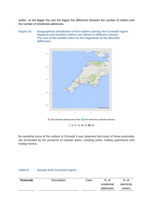outlier, so the bigger the size the bigger the difference between the number of meters and the number of residential addresses.

#### <span id="page-16-0"></span>**Figure 10:** *Geographical distribution of the outliers among the Cornwall region. Negative and positive outliers are shown in different colours. The size of the bubble refers to the magnitude of the absolute difference.*



By sampling some of the outliers in Cornwall it was observed that many of these postcodes are dominated by the presence of caravan parks, camping parks, holiday apartments and holiday homes.

#### **Table 8:** *Sample from Cornwall region.*

| <b>Postcode</b> | <b>Description</b> | Case | N. of       | N. of       |
|-----------------|--------------------|------|-------------|-------------|
|                 |                    |      | residential | electricity |
|                 |                    |      | addresses   | meters      |
|                 |                    |      |             |             |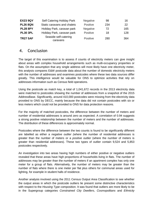| <b>EX23 9QY</b> | <b>Self Catering Holiday Park</b> | Negative        | 98  | 16  |
|-----------------|-----------------------------------|-----------------|-----|-----|
| <b>PL26 8QN</b> | Static caravans and chalets       | <b>Positive</b> | 234 | 22  |
| <b>PL28 8PY</b> | Holiday Park, caravan park        | <b>Negative</b> | 72  | 165 |
| <b>PL30 3PL</b> | Holiday Park, caravan park        | <b>Positive</b> | 18  | 128 |
| <b>TR27 5AF</b> | Seaside self-catering<br>caravans | <b>Positive</b> | 280 | 364 |

# 4. Conclusion

The target of this examination is to assess if counts of electricity meters can give insight about areas with complex household arrangements such as multi-occupancy properties or flats. On the assumption that any single address will most likely have one electricity meter, this analysis compares E&W postcode data about the number of domestic electricity meters with the number of addresses and examines postcodes where these two data sources differ greatly. This intelligence would be valuable for ONS to optimize activities that rely on addresses information such as Census field operations.

Using the postcode as match key, a total of 1,041,672 records in the 2013 electricity data were matched to postcodes showing the number of addresses from a snapshot of the 2015 AddressBase. Significantly, around 410,000 postcodes were missing from the electricity data provided to ONS by DECC, mainly because the data did not contain postcodes with six or less meters which could not be provided to ONS for data protection reasons.

For the majority of matched postcodes, the difference between the number of meters and number of residential addresses is around zero as expected. A correlation of 0.94 suggests a strong positive relationship between the number of meters and the number of addresses. The distribution of these differences is approximately normal.

Postcodes where the difference between the two counts is found to be significantly different are labelled as either a *negative outlier (*where the number of residential addresses is greater than the number of meters or a *positive outlier* (where the number of meters is greater than residential addresses). These two types of outlier contain 9,524 and 5,853 postcodes respectively.

An investigation into two areas having high numbers of either positive or negative outliers revealed that these areas have high proportions of households living in flats. The number of addresses may be greater than the number of meters if an apartment complex has only one meter for a group of flats. Alternatively, the number of meters may be greater than the number of flats where there is one meter per flat plus others for communal areas used for lighting, for example in student halls of residence.

Another analysis involved using the 2011 Census Output Area Classification to see whether the output areas in which the postcode outliers lie present some distinctive characteristics with respect to the *Housing Type* composition. It was found that outliers are more likely to be in the Supergroup categories *Constrained City Dwellers*, *Cosmopolitans* and *Ethnicity*